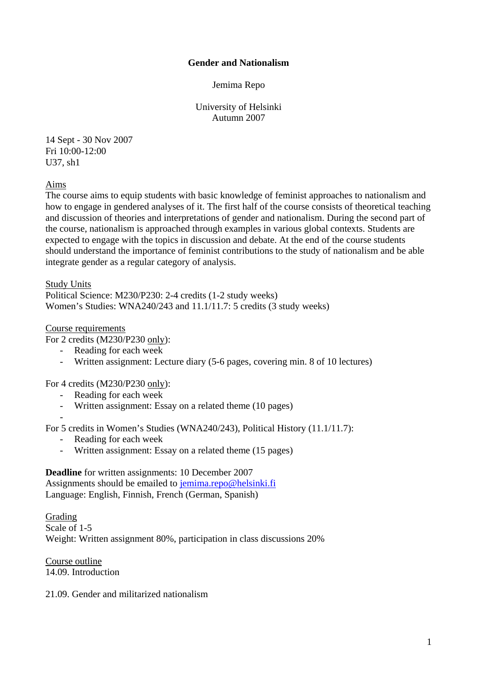## **Gender and Nationalism**

Jemima Repo

University of Helsinki Autumn 2007

14 Sept - 30 Nov 2007 Fri 10:00-12:00 U37, sh1

Aims

The course aims to equip students with basic knowledge of feminist approaches to nationalism and how to engage in gendered analyses of it. The first half of the course consists of theoretical teaching and discussion of theories and interpretations of gender and nationalism. During the second part of the course, nationalism is approached through examples in various global contexts. Students are expected to engage with the topics in discussion and debate. At the end of the course students should understand the importance of feminist contributions to the study of nationalism and be able integrate gender as a regular category of analysis.

Study Units

Political Science: M230/P230: 2-4 credits (1-2 study weeks) Women's Studies: WNA240/243 and 11.1/11.7: 5 credits (3 study weeks)

## Course requirements

For 2 credits (M230/P230 only):

- Reading for each week
- Written assignment: Lecture diary (5-6 pages, covering min. 8 of 10 lectures)

For 4 credits (M230/P230 only):

- Reading for each week
- Written assignment: Essay on a related theme (10 pages)
- -

For 5 credits in Women's Studies (WNA240/243), Political History (11.1/11.7):

- Reading for each week
- Written assignment: Essay on a related theme (15 pages)

**Deadline** for written assignments: 10 December 2007 Assignments should be emailed to [jemima.repo@helsinki.fi](mailto:jemima.repo@helsinki.fi) Language: English, Finnish, French (German, Spanish)

Grading Scale of 1-5 Weight: Written assignment 80%, participation in class discussions 20%

Course outline 14.09. Introduction

21.09. Gender and militarized nationalism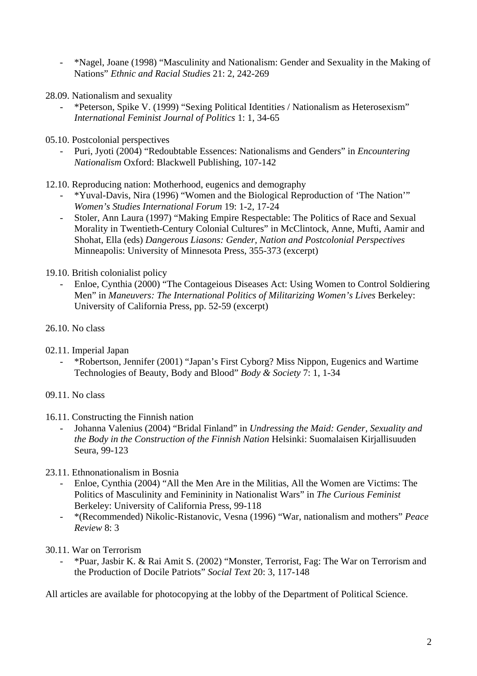- \*Nagel, Joane (1998) "Masculinity and Nationalism: Gender and Sexuality in the Making of Nations" *Ethnic and Racial Studies* 21: 2, 242-269
- 28.09. Nationalism and sexuality
	- \*Peterson, Spike V. (1999) "Sexing Political Identities / Nationalism as Heterosexism" *International Feminist Journal of Politics* 1: 1, 34-65
- 05.10. Postcolonial perspectives
	- Puri, Jyoti (2004) "Redoubtable Essences: Nationalisms and Genders" in *Encountering Nationalism* Oxford: Blackwell Publishing, 107-142
- 12.10. Reproducing nation: Motherhood, eugenics and demography
	- \*Yuval-Davis, Nira (1996) "Women and the Biological Reproduction of 'The Nation'" *Women's Studies International Forum* 19: 1-2, 17-24
	- Stoler, Ann Laura (1997) "Making Empire Respectable: The Politics of Race and Sexual Morality in Twentieth-Century Colonial Cultures" in McClintock, Anne, Mufti, Aamir and Shohat, Ella (eds) *Dangerous Liasons: Gender, Nation and Postcolonial Perspectives* Minneapolis: University of Minnesota Press, 355-373 (excerpt)
- 19.10. British colonialist policy
	- Enloe, Cynthia (2000) "The Contageious Diseases Act: Using Women to Control Soldiering Men" in *Maneuvers: The International Politics of Militarizing Women's Lives* Berkeley: University of California Press, pp. 52-59 (excerpt)
- 26.10. No class
- 02.11. Imperial Japan
	- \*Robertson, Jennifer (2001) "Japan's First Cyborg? Miss Nippon, Eugenics and Wartime Technologies of Beauty, Body and Blood" *Body & Society* 7: 1, 1-34
- 09.11. No class
- 16.11. Constructing the Finnish nation
	- Johanna Valenius (2004) "Bridal Finland" in *Undressing the Maid: Gender, Sexuality and the Body in the Construction of the Finnish Nation* Helsinki: Suomalaisen Kirjallisuuden Seura, 99-123
- 23.11. Ethnonationalism in Bosnia
	- Enloe, Cynthia (2004) "All the Men Are in the Militias, All the Women are Victims: The Politics of Masculinity and Femininity in Nationalist Wars" in *The Curious Feminist* Berkeley: University of California Press, 99-118
	- \*(Recommended) Nikolic-Ristanovic, Vesna (1996) "War, nationalism and mothers" *Peace Review* 8: 3
- 30.11. War on Terrorism
	- \*Puar, Jasbir K. & Rai Amit S. (2002) "Monster, Terrorist, Fag: The War on Terrorism and the Production of Docile Patriots" *Social Text* 20: 3, 117-148

All articles are available for photocopying at the lobby of the Department of Political Science.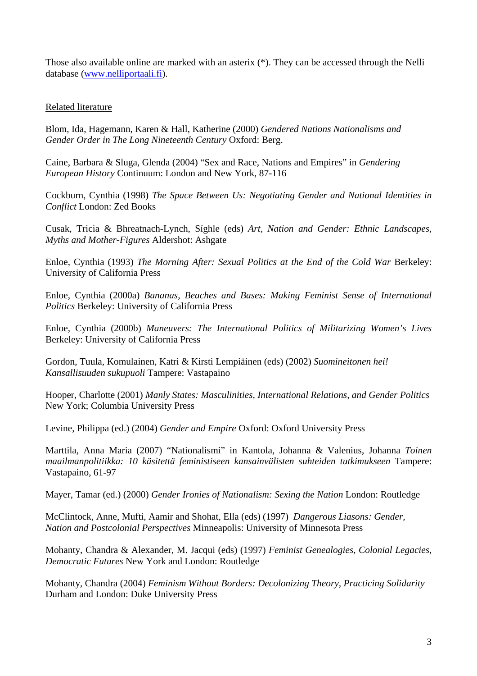Those also available online are marked with an asterix (\*). They can be accessed through the Nelli database [\(www.nelliportaali.fi](http://www.nelliportaali.fi/)).

## Related literature

Blom, Ida, Hagemann, Karen & Hall, Katherine (2000) *Gendered Nations Nationalisms and Gender Order in The Long Nineteenth Century* Oxford: Berg.

Caine, Barbara & Sluga, Glenda (2004) "Sex and Race, Nations and Empires" in *Gendering European History* Continuum: London and New York, 87-116

Cockburn, Cynthia (1998) *The Space Between Us: Negotiating Gender and National Identities in Conflict* London: Zed Books

Cusak, Tricia & Bhreatnach-Lynch, Síghle (eds) *Art, Nation and Gender: Ethnic Landscapes, Myths and Mother-Figures* Aldershot: Ashgate

Enloe, Cynthia (1993) *The Morning After: Sexual Politics at the End of the Cold War Berkeley:* University of California Press

Enloe, Cynthia (2000a) *Bananas, Beaches and Bases: Making Feminist Sense of International Politics* Berkeley: University of California Press

Enloe, Cynthia (2000b) *Maneuvers: The International Politics of Militarizing Women's Lives* Berkeley: University of California Press

Gordon, Tuula, Komulainen, Katri & Kirsti Lempiäinen (eds) (2002) *Suomineitonen hei! Kansallisuuden sukupuoli* Tampere: Vastapaino

Hooper, Charlotte (2001) *Manly States: Masculinities, International Relations, and Gender Politics* New York; Columbia University Press

Levine, Philippa (ed.) (2004) *Gender and Empire* Oxford: Oxford University Press

Marttila, Anna Maria (2007) "Nationalismi" in Kantola, Johanna & Valenius, Johanna *Toinen maailmanpolitiikka: 10 käsitettä feministiseen kansainvälisten suhteiden tutkimukseen* Tampere: Vastapaino, 61-97

Mayer, Tamar (ed.) (2000) *Gender Ironies of Nationalism: Sexing the Nation* London: Routledge

McClintock, Anne, Mufti, Aamir and Shohat, Ella (eds) (1997) *Dangerous Liasons: Gender, Nation and Postcolonial Perspectives* Minneapolis: University of Minnesota Press

Mohanty, Chandra & Alexander, M. Jacqui (eds) (1997) *Feminist Genealogies, Colonial Legacies, Democratic Futures* New York and London: Routledge

Mohanty, Chandra (2004) *Feminism Without Borders: Decolonizing Theory, Practicing Solidarity* Durham and London: Duke University Press